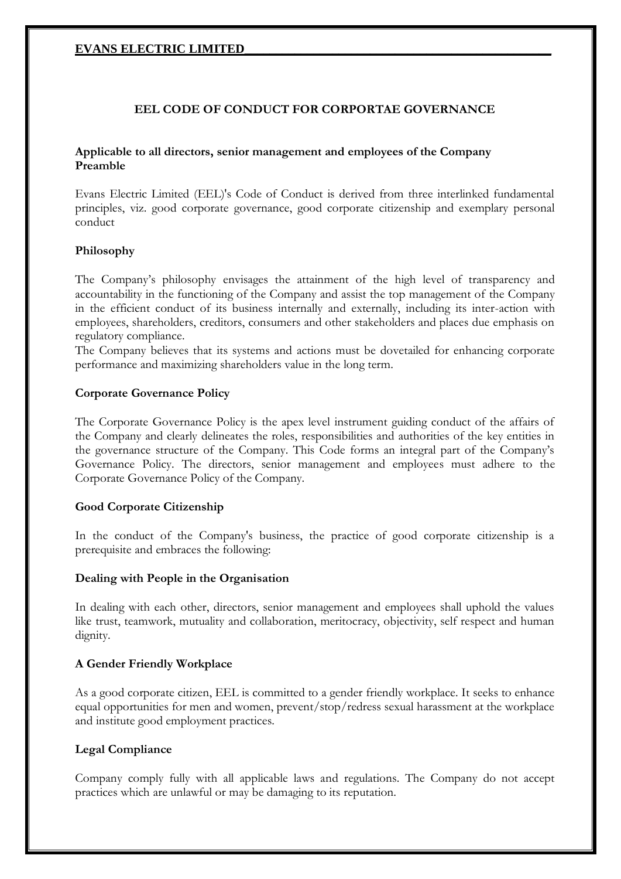# **EEL CODE OF CONDUCT FOR CORPORTAE GOVERNANCE**

#### **Applicable to all directors, senior management and employees of the Company Preamble**

Evans Electric Limited (EEL)'s Code of Conduct is derived from three interlinked fundamental principles, viz. good corporate governance, good corporate citizenship and exemplary personal conduct

#### **Philosophy**

The Company's philosophy envisages the attainment of the high level of transparency and accountability in the functioning of the Company and assist the top management of the Company in the efficient conduct of its business internally and externally, including its inter-action with employees, shareholders, creditors, consumers and other stakeholders and places due emphasis on regulatory compliance.

The Company believes that its systems and actions must be dovetailed for enhancing corporate performance and maximizing shareholders value in the long term.

#### **Corporate Governance Policy**

The Corporate Governance Policy is the apex level instrument guiding conduct of the affairs of the Company and clearly delineates the roles, responsibilities and authorities of the key entities in the governance structure of the Company. This Code forms an integral part of the Company's Governance Policy. The directors, senior management and employees must adhere to the Corporate Governance Policy of the Company.

#### **Good Corporate Citizenship**

In the conduct of the Company's business, the practice of good corporate citizenship is a prerequisite and embraces the following:

#### **Dealing with People in the Organisation**

In dealing with each other, directors, senior management and employees shall uphold the values like trust, teamwork, mutuality and collaboration, meritocracy, objectivity, self respect and human dignity.

#### **A Gender Friendly Workplace**

As a good corporate citizen, EEL is committed to a gender friendly workplace. It seeks to enhance equal opportunities for men and women, prevent/stop/redress sexual harassment at the workplace and institute good employment practices.

#### **Legal Compliance**

Company comply fully with all applicable laws and regulations. The Company do not accept practices which are unlawful or may be damaging to its reputation.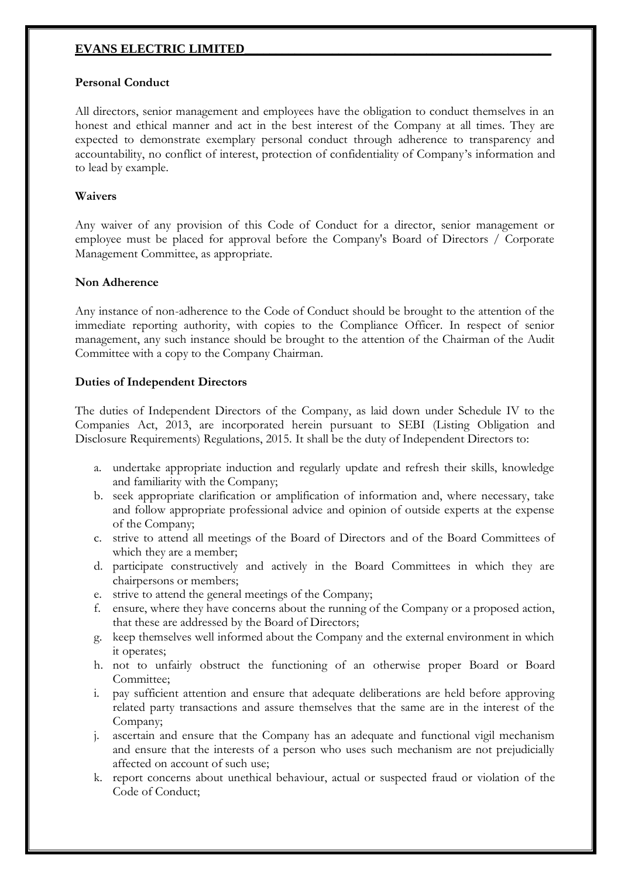# **Personal Conduct**

All directors, senior management and employees have the obligation to conduct themselves in an honest and ethical manner and act in the best interest of the Company at all times. They are expected to demonstrate exemplary personal conduct through adherence to transparency and accountability, no conflict of interest, protection of confidentiality of Company's information and to lead by example.

# **Waivers**

Any waiver of any provision of this Code of Conduct for a director, senior management or employee must be placed for approval before the Company's Board of Directors / Corporate Management Committee, as appropriate.

#### **Non Adherence**

Any instance of non-adherence to the Code of Conduct should be brought to the attention of the immediate reporting authority, with copies to the Compliance Officer. In respect of senior management, any such instance should be brought to the attention of the Chairman of the Audit Committee with a copy to the Company Chairman.

#### **Duties of Independent Directors**

The duties of Independent Directors of the Company, as laid down under Schedule IV to the Companies Act, 2013, are incorporated herein pursuant to SEBI (Listing Obligation and Disclosure Requirements) Regulations, 2015. It shall be the duty of Independent Directors to:

- a. undertake appropriate induction and regularly update and refresh their skills, knowledge and familiarity with the Company;
- b. seek appropriate clarification or amplification of information and, where necessary, take and follow appropriate professional advice and opinion of outside experts at the expense of the Company;
- c. strive to attend all meetings of the Board of Directors and of the Board Committees of which they are a member;
- d. participate constructively and actively in the Board Committees in which they are chairpersons or members;
- e. strive to attend the general meetings of the Company;
- f. ensure, where they have concerns about the running of the Company or a proposed action, that these are addressed by the Board of Directors;
- g. keep themselves well informed about the Company and the external environment in which it operates;
- h. not to unfairly obstruct the functioning of an otherwise proper Board or Board Committee;
- i. pay sufficient attention and ensure that adequate deliberations are held before approving related party transactions and assure themselves that the same are in the interest of the Company;
- j. ascertain and ensure that the Company has an adequate and functional vigil mechanism and ensure that the interests of a person who uses such mechanism are not prejudicially affected on account of such use;
- k. report concerns about unethical behaviour, actual or suspected fraud or violation of the Code of Conduct;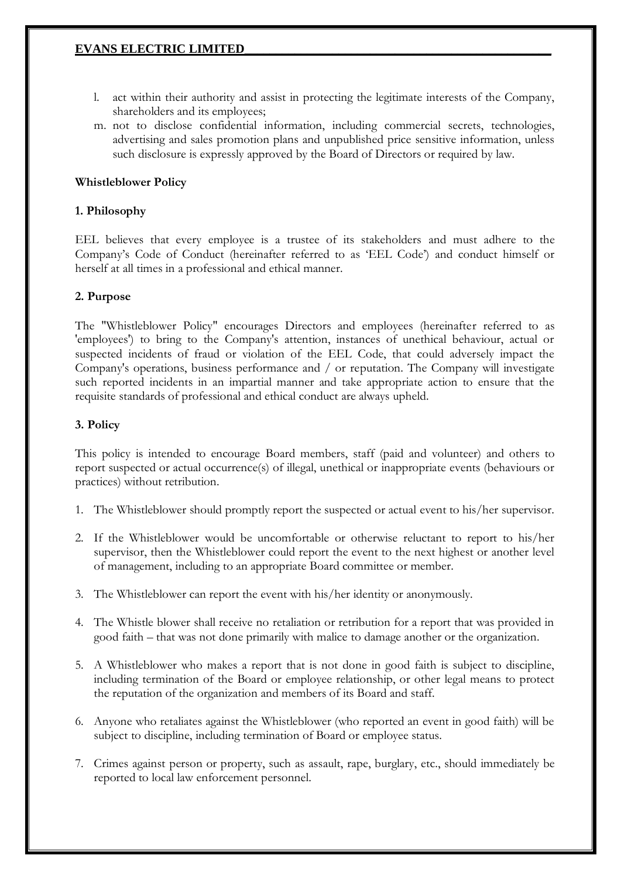- l. act within their authority and assist in protecting the legitimate interests of the Company, shareholders and its employees;
- m. not to disclose confidential information, including commercial secrets, technologies, advertising and sales promotion plans and unpublished price sensitive information, unless such disclosure is expressly approved by the Board of Directors or required by law.

# **Whistleblower Policy**

# **1. Philosophy**

EEL believes that every employee is a trustee of its stakeholders and must adhere to the Company's Code of Conduct (hereinafter referred to as 'EEL Code') and conduct himself or herself at all times in a professional and ethical manner.

# **2. Purpose**

The "Whistleblower Policy" encourages Directors and employees (hereinafter referred to as 'employees') to bring to the Company's attention, instances of unethical behaviour, actual or suspected incidents of fraud or violation of the EEL Code, that could adversely impact the Company's operations, business performance and / or reputation. The Company will investigate such reported incidents in an impartial manner and take appropriate action to ensure that the requisite standards of professional and ethical conduct are always upheld.

# **3. Policy**

This policy is intended to encourage Board members, staff (paid and volunteer) and others to report suspected or actual occurrence(s) of illegal, unethical or inappropriate events (behaviours or practices) without retribution.

- 1. The Whistleblower should promptly report the suspected or actual event to his/her supervisor.
- 2. If the Whistleblower would be uncomfortable or otherwise reluctant to report to his/her supervisor, then the Whistleblower could report the event to the next highest or another level of management, including to an appropriate Board committee or member.
- 3. The Whistleblower can report the event with his/her identity or anonymously.
- 4. The Whistle blower shall receive no retaliation or retribution for a report that was provided in good faith – that was not done primarily with malice to damage another or the organization.
- 5. A Whistleblower who makes a report that is not done in good faith is subject to discipline, including termination of the Board or employee relationship, or other legal means to protect the reputation of the organization and members of its Board and staff.
- 6. Anyone who retaliates against the Whistleblower (who reported an event in good faith) will be subject to discipline, including termination of Board or employee status.
- 7. Crimes against person or property, such as assault, rape, burglary, etc., should immediately be reported to local law enforcement personnel.